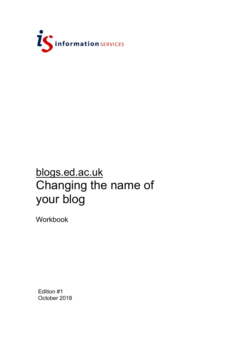

## blogs.ed.ac.uk Changing the name of your blog

Workbook

Edition #1 October 2018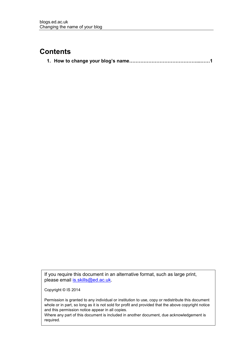## **Contents**

|--|--|--|

If you require this document in an alternative format, such as large print, please email [is.skills@ed.ac.uk.](mailto:is.skills@ed.ac.uk)

Copyright © IS 2014

Permission is granted to any individual or institution to use, copy or redistribute this document whole or in part, so long as it is not sold for profit and provided that the above copyright notice and this permission notice appear in all copies.

Where any part of this document is included in another document, due acknowledgement is required.